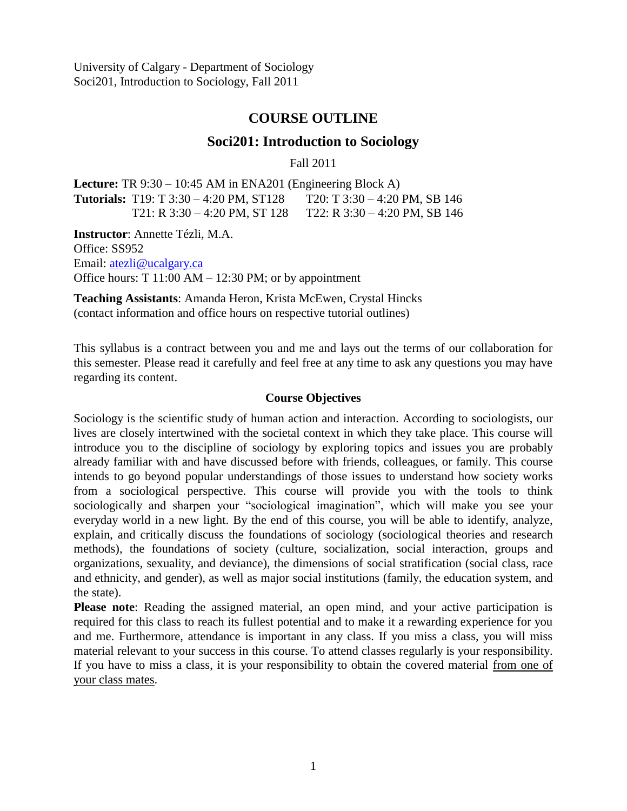# **COURSE OUTLINE**

# **Soci201: Introduction to Sociology**

Fall 2011

**Lecture:** TR 9:30 – 10:45 AM in ENA201 (Engineering Block A) **Tutorials:** T19: T 3:30 – 4:20 PM, ST128 T20: T 3:30 – 4:20 PM, SB 146 T21: R 3:30 – 4:20 PM, ST 128 T22: R 3:30 – 4:20 PM, SB 146

**Instructor**: Annette Tézli, M.A. Office: SS952 Email: [atezli@ucalgary.ca](mailto:atezli@ucalgary.ca) Office hours:  $T 11:00 AM - 12:30 PM$ ; or by appointment

**Teaching Assistants**: Amanda Heron, Krista McEwen, Crystal Hincks (contact information and office hours on respective tutorial outlines)

This syllabus is a contract between you and me and lays out the terms of our collaboration for this semester. Please read it carefully and feel free at any time to ask any questions you may have regarding its content.

#### **Course Objectives**

Sociology is the scientific study of human action and interaction. According to sociologists, our lives are closely intertwined with the societal context in which they take place. This course will introduce you to the discipline of sociology by exploring topics and issues you are probably already familiar with and have discussed before with friends, colleagues, or family. This course intends to go beyond popular understandings of those issues to understand how society works from a sociological perspective. This course will provide you with the tools to think sociologically and sharpen your "sociological imagination", which will make you see your everyday world in a new light. By the end of this course, you will be able to identify, analyze, explain, and critically discuss the foundations of sociology (sociological theories and research methods), the foundations of society (culture, socialization, social interaction, groups and organizations, sexuality, and deviance), the dimensions of social stratification (social class, race and ethnicity, and gender), as well as major social institutions (family, the education system, and the state).

**Please note**: Reading the assigned material, an open mind, and your active participation is required for this class to reach its fullest potential and to make it a rewarding experience for you and me. Furthermore, attendance is important in any class. If you miss a class, you will miss material relevant to your success in this course. To attend classes regularly is your responsibility. If you have to miss a class, it is your responsibility to obtain the covered material from one of your class mates.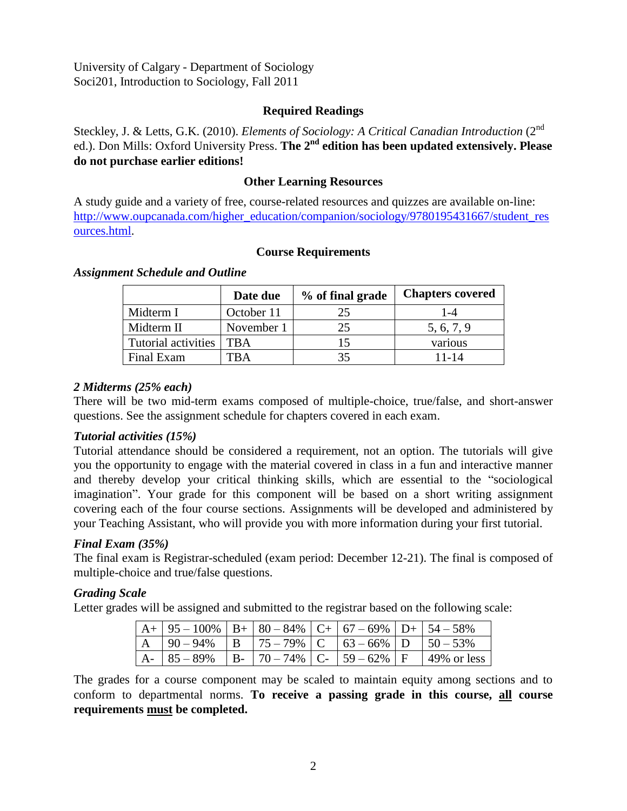## **Required Readings**

Steckley, J. & Letts, G.K. (2010). *Elements of Sociology: A Critical Canadian Introduction* (2<sup>nd</sup> ed.). Don Mills: Oxford University Press. The 2<sup>nd</sup> edition has been updated extensively. Please **do not purchase earlier editions!**

## **Other Learning Resources**

A study guide and a variety of free, course-related resources and quizzes are available on-line: [http://www.oupcanada.com/higher\\_education/companion/sociology/9780195431667/student\\_res](http://www.oupcanada.com/higher_education/companion/sociology/9780195431667/student_resources.html) [ources.html.](http://www.oupcanada.com/higher_education/companion/sociology/9780195431667/student_resources.html)

## **Course Requirements**

|                     | Date due   | % of final grade | <b>Chapters covered</b> |
|---------------------|------------|------------------|-------------------------|
| Midterm I           | October 11 | 25               | l -4                    |
| Midterm II          | November 1 | 25               | 5, 6, 7, 9              |
| Tutorial activities | <b>TBA</b> |                  | various                 |
| Final Exam          | ΓB A       |                  | 11-14                   |

#### *Assignment Schedule and Outline*

#### *2 Midterms (25% each)*

There will be two mid-term exams composed of multiple-choice, true/false, and short-answer questions. See the assignment schedule for chapters covered in each exam.

#### *Tutorial activities (15%)*

Tutorial attendance should be considered a requirement, not an option. The tutorials will give you the opportunity to engage with the material covered in class in a fun and interactive manner and thereby develop your critical thinking skills, which are essential to the "sociological imagination". Your grade for this component will be based on a short writing assignment covering each of the four course sections. Assignments will be developed and administered by your Teaching Assistant, who will provide you with more information during your first tutorial.

#### *Final Exam (35%)*

The final exam is Registrar-scheduled (exam period: December 12-21). The final is composed of multiple-choice and true/false questions.

#### *Grading Scale*

Letter grades will be assigned and submitted to the registrar based on the following scale:

| $A + 95 - 100\%$   B+   80 - 84%   C+   67 - 69%   D+   54 - 58% |  |  |                                                                 |
|------------------------------------------------------------------|--|--|-----------------------------------------------------------------|
| $A$   90 – 94%   B   75 – 79%   C   63 – 66%   D   50 – 53%      |  |  |                                                                 |
|                                                                  |  |  | A-   85 – 89%   B-   70 – 74%   C-   59 – 62%   F   49% or less |

The grades for a course component may be scaled to maintain equity among sections and to conform to departmental norms. **To receive a passing grade in this course, all course requirements must be completed.**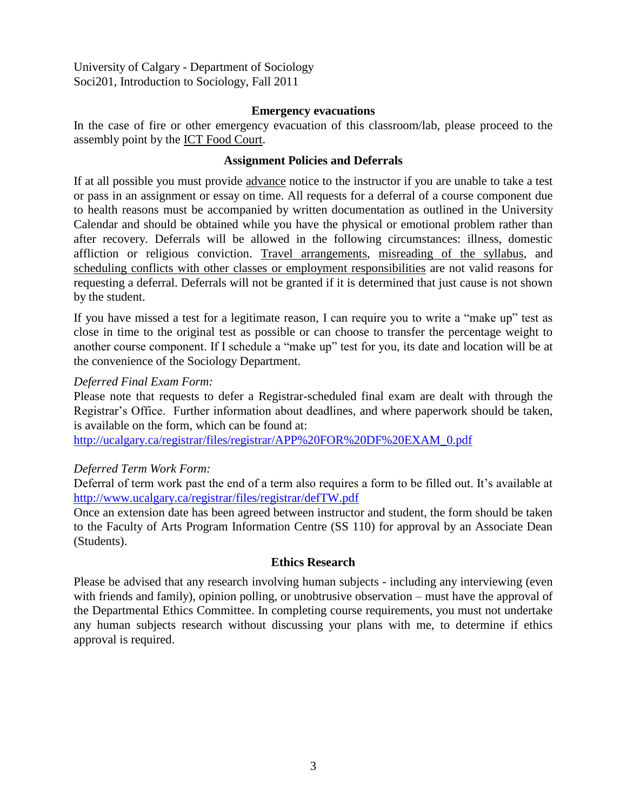#### **Emergency evacuations**

In the case of fire or other emergency evacuation of this classroom/lab, please proceed to the assembly point by the ICT Food Court.

### **Assignment Policies and Deferrals**

If at all possible you must provide advance notice to the instructor if you are unable to take a test or pass in an assignment or essay on time. All requests for a deferral of a course component due to health reasons must be accompanied by written documentation as outlined in the University Calendar and should be obtained while you have the physical or emotional problem rather than after recovery. Deferrals will be allowed in the following circumstances: illness, domestic affliction or religious conviction. Travel arrangements, misreading of the syllabus, and scheduling conflicts with other classes or employment responsibilities are not valid reasons for requesting a deferral. Deferrals will not be granted if it is determined that just cause is not shown by the student.

If you have missed a test for a legitimate reason, I can require you to write a "make up" test as close in time to the original test as possible or can choose to transfer the percentage weight to another course component. If I schedule a "make up" test for you, its date and location will be at the convenience of the Sociology Department.

#### *Deferred Final Exam Form:*

Please note that requests to defer a Registrar-scheduled final exam are dealt with through the Registrar's Office. Further information about deadlines, and where paperwork should be taken, is available on the form, which can be found at:

[http://ucalgary.ca/registrar/files/registrar/APP%20FOR%20DF%20EXAM\\_0.pdf](http://ucalgary.ca/registrar/files/registrar/APP%20FOR%20DF%20EXAM_0.pdf)

#### *Deferred Term Work Form:*

Deferral of term work past the end of a term also requires a form to be filled out. It's available at <http://www.ucalgary.ca/registrar/files/registrar/defTW.pdf>

Once an extension date has been agreed between instructor and student, the form should be taken to the Faculty of Arts Program Information Centre (SS 110) for approval by an Associate Dean (Students).

#### **Ethics Research**

Please be advised that any research involving human subjects - including any interviewing (even with friends and family), opinion polling, or unobtrusive observation – must have the approval of the Departmental Ethics Committee. In completing course requirements, you must not undertake any human subjects research without discussing your plans with me, to determine if ethics approval is required.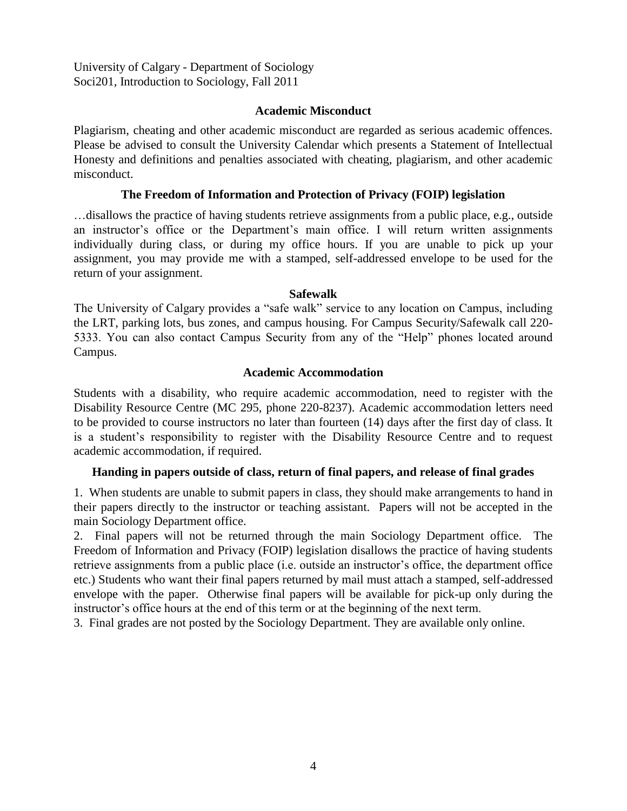### **Academic Misconduct**

Plagiarism, cheating and other academic misconduct are regarded as serious academic offences. Please be advised to consult the University Calendar which presents a Statement of Intellectual Honesty and definitions and penalties associated with cheating, plagiarism, and other academic misconduct.

## **The Freedom of Information and Protection of Privacy (FOIP) legislation**

…disallows the practice of having students retrieve assignments from a public place, e.g., outside an instructor's office or the Department's main office. I will return written assignments individually during class, or during my office hours. If you are unable to pick up your assignment, you may provide me with a stamped, self-addressed envelope to be used for the return of your assignment.

#### **Safewalk**

The University of Calgary provides a "safe walk" service to any location on Campus, including the LRT, parking lots, bus zones, and campus housing. For Campus Security/Safewalk call 220- 5333. You can also contact Campus Security from any of the "Help" phones located around Campus.

#### **Academic Accommodation**

Students with a disability, who require academic accommodation, need to register with the Disability Resource Centre (MC 295, phone 220-8237). Academic accommodation letters need to be provided to course instructors no later than fourteen (14) days after the first day of class. It is a student's responsibility to register with the Disability Resource Centre and to request academic accommodation, if required.

#### **Handing in papers outside of class, return of final papers, and release of final grades**

1. When students are unable to submit papers in class, they should make arrangements to hand in their papers directly to the instructor or teaching assistant. Papers will not be accepted in the main Sociology Department office.

2. Final papers will not be returned through the main Sociology Department office. The Freedom of Information and Privacy (FOIP) legislation disallows the practice of having students retrieve assignments from a public place (i.e. outside an instructor's office, the department office etc.) Students who want their final papers returned by mail must attach a stamped, self-addressed envelope with the paper. Otherwise final papers will be available for pick-up only during the instructor's office hours at the end of this term or at the beginning of the next term.

3. Final grades are not posted by the Sociology Department. They are available only online.